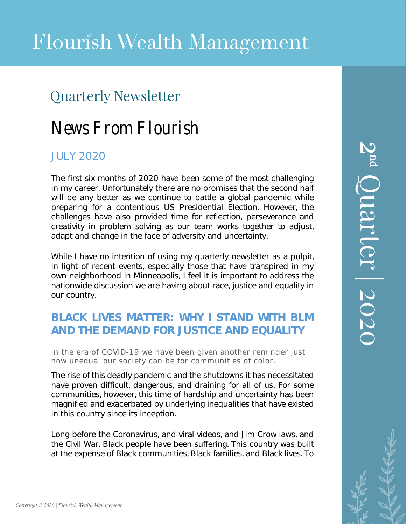## Quarterly Newsletter

# News From Flourish

## JULY 2020

The first six months of 2020 have been some of the most challenging in my career. Unfortunately there are no promises that the second half will be any better as we continue to battle a global pandemic while preparing for a contentious US Presidential Election. However, the challenges have also provided time for reflection, perseverance and creativity in problem solving as our team works together to adjust, adapt and change in the face of adversity and uncertainty.

While I have no intention of using my quarterly newsletter as a pulpit, in light of recent events, especially those that have transpired in my own neighborhood in Minneapolis, I feel it is important to address the nationwide discussion we are having about race, justice and equality in our country.

## **BLACK LIVES MATTER: WHY I STAND WITH BLM AND THE DEMAND FOR JUSTICE AND EQUALITY**

In the era of COVID-19 we have been given another reminder just how unequal our society can be for communities of color.

The rise of this deadly pandemic and the shutdowns it has necessitated have proven difficult, dangerous, and draining for all of us. For some communities, however, this time of hardship and uncertainty has been magnified and exacerbated by underlying inequalities that have existed in this country since its inception.

Long before the Coronavirus, and viral videos, and Jim Crow laws, and the Civil War, Black people have been suffering. This country was built at the expense of Black communities, Black families, and Black lives. To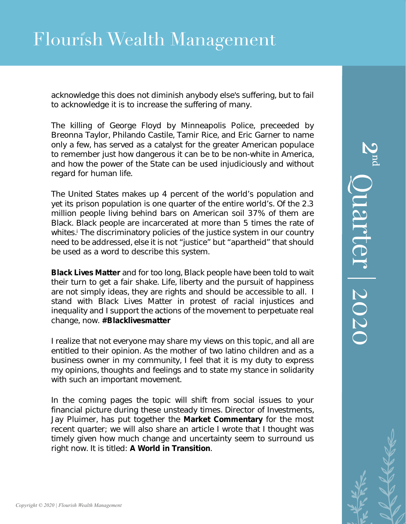# Flourish Wealth Management

acknowledge this does not diminish anybody else's suffering, but to fail to acknowledge it is to increase the suffering of many.

The killing of George Floyd by Minneapolis Police, preceeded by Breonna Taylor, Philando Castile, Tamir Rice, and Eric Garner to name only a few, has served as a catalyst for the greater American populace to remember just how dangerous it can be to be non-white in America, and how the power of the State can be used injudiciously and without regard for human life.

The United States makes up 4 percent of the world's population and yet its prison population is one quarter of the entire world's. Of the 2.3 million people living behind bars on American soil 37% of them are Black. Black people are incarcerated at more than 5 times the rate of whites.<sup>i</sup> The discriminatory policies of the justice system in our country need to be addressed, else it is not "justice" but "apartheid" that should be used as a word to describe this system.

*Black Lives Matter* and for too long, Black people have been told to wait their turn to get a fair shake. Life, liberty and the pursuit of happiness are not simply ideas, they are rights and should be accessible to all. I stand with Black Lives Matter in protest of racial injustices and inequality and I support the actions of the movement to perpetuate real change, now. *#Blacklivesmatter*

I realize that not everyone may share my views on this topic, and all are entitled to their opinion. As the mother of two latino children and as a business owner in my community, I feel that it is my duty to express my opinions, thoughts and feelings and to state my stance in solidarity with such an important movement.

In the coming pages the topic will shift from social issues to your financial picture during these unsteady times. Director of Investments, Jay Pluimer, has put together the **Market Commentary** for the most recent quarter; we will also share an article I wrote that I thought was timely given how much change and uncertainty seem to surround us right now. It is titled: **A World in Transition**.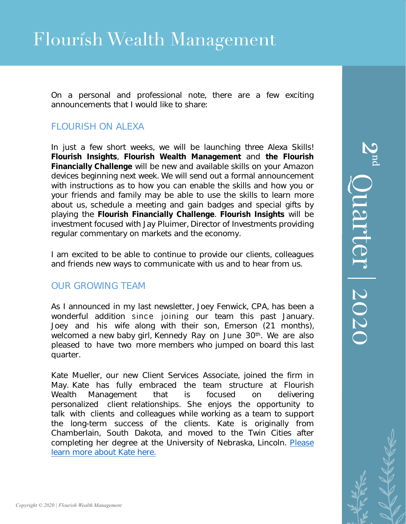On a personal and professional note, there are a few exciting announcements that I would like to share:

### FLOURISH ON ALEXA

In just a few short weeks, we will be launching *three* Alexa Skills! **Flourish Insights**, **Flourish Wealth Management** and **the Flourish Financially Challenge** will be new and available skills on your Amazon devices beginning next week. We will send out a formal announcement with instructions as to how you can enable the skills and how you or your friends and family may be able to use the skills to learn more about us, schedule a meeting and gain badges and special gifts by playing the **Flourish Financially Challenge**. **Flourish Insights** will be investment focused with Jay Pluimer, Director of Investments providing regular commentary on markets and the economy.

I am excited to be able to continue to provide our clients, colleagues and friends new ways to communicate with us and to hear from us.

### OUR GROWING TEAM

As I announced in my last newsletter, Joey Fenwick, CPA, has been a wonderful addition since joining our team this past January. Joey and his wife along with their son, Emerson (21 months), welcomed a new baby girl, Kennedy Ray on June 30<sup>th</sup>. We are also pleased to have two more members who jumped on board this last quarter.

Kate Mueller, our new Client Services Associate, joined the firm in May. Kate has fully embraced the team structure at Flourish Wealth Management that is focused on delivering personalized client relationships. She enjoys the opportunity to talk with clients and colleagues while working as a team to support the long-term success of the clients. Kate is originally from Chamberlain, South [Dakota, and moved to the Twin](https://www.flourishwealthmanagement.com/kate-mueller) Cities after completing her degree at the University of Nebraska, Lincoln. Please learn more about Kate here.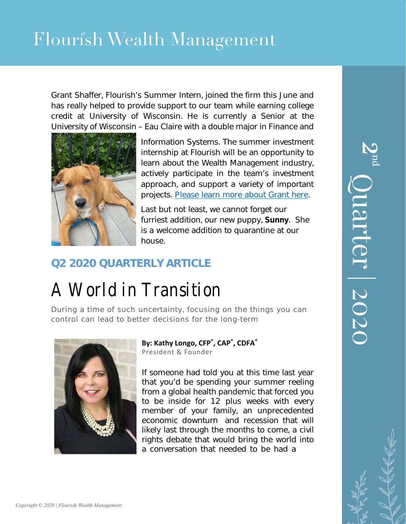Grant Shaffer, Flourish's Summer Intern, joined the firm this June and has really helped to provide support to our team while earning college credit at University of Wisconsin. He is currently a Senior at the University of Wisconsin – Eau Claire with a double major in Finance and



Information Systems. The summer investment internship at Flourish will be an opportunity to learn about the Wealth Management industry, actively participate in the team's investment approach, and support a variety of important projects. [Please learn more about Grant here.](https://www.flourishwealthmanagement.com/grant-shaffer) 

Last but not least, we cannot forget our furriest addition, our new puppy, **Sunny**. She is a welcome addition to quarantine at our house.

## **Q2 2020 QUARTERLY ARTICLE**

# A World in Transition

During a time of such uncertainty, focusing on the things you can control can lead to better decisions for the long-term



**By: Kathy Longo, CFP® , CAP® , CDFA®** President & Founder

If someone had told you at this time last year that you'd be spending your summer reeling from a global health pandemic that forced you to be inside for 12 plus weeks with every member of your family, an unprecedented economic downturn and recession that will likely last through the months to come, a civil rights debate that would bring the world into a conversation that needed to be had a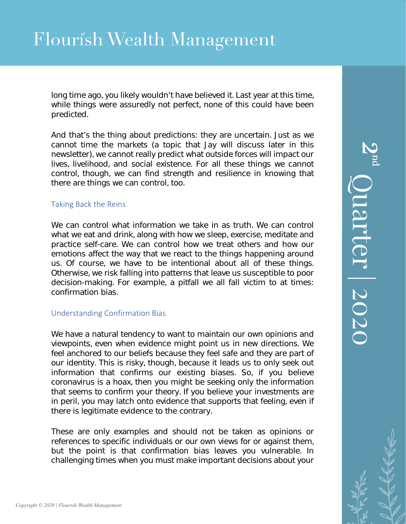long time ago, you likely wouldn't have believed it. Last year at this time, while things were assuredly not perfect, none of this could have been predicted.

And that's the thing about predictions: they are uncertain. Just as we cannot time the markets (a topic that Jay will discuss later in this newsletter), we cannot really predict what outside forces will impact our lives, livelihood, and social existence. For all these things we cannot control, though, we can find strength and resilience in knowing that there are things we can control, too.

### Taking Back the Reins

We can control what information we take in as truth. We can control what we eat and drink, along with how we sleep, exercise, meditate and practice self-care. We can control how we treat others and how our emotions affect the way that we react to the things happening around us. Of course, we have to be intentional about all of these things. Otherwise, we risk falling into patterns that leave us susceptible to poor decision-making. For example, a pitfall we all fall victim to at times: confirmation bias.

### Understanding Confirmation Bias

We have a natural tendency to want to maintain our own opinions and viewpoints, even when evidence might point us in new directions. We feel anchored to our beliefs because they feel safe and they are part of our identity. This is risky, though, because it leads us to only seek out information that confirms our existing biases. So, if you believe coronavirus is a hoax, then you might be seeking only the information that seems to confirm your theory. If you believe your investments are in peril, you may latch onto evidence that supports that feeling, even if there is legitimate evidence to the contrary.

These are only examples and should not be taken as opinions or references to specific individuals or our own views for or against them, but the point is that confirmation bias leaves you vulnerable. In challenging times when you must make important decisions about your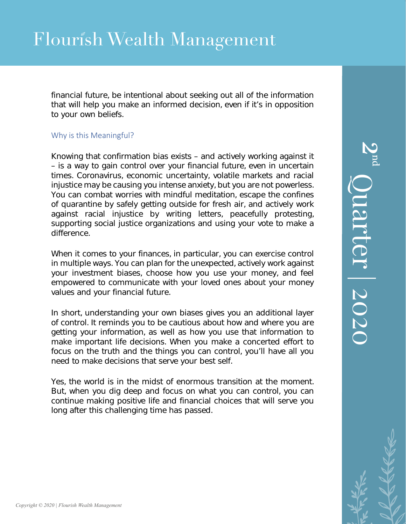financial future, be intentional about seeking out all of the information that will help you make an informed decision, even if it's in opposition to your own beliefs.

### Why is this Meaningful?

Knowing that confirmation bias exists – and actively working against it – is a way to gain control over your financial future, even in uncertain times. Coronavirus, economic uncertainty, volatile markets and racial injustice may be causing you intense anxiety, but you are not powerless. You can combat worries with mindful meditation, escape the confines of quarantine by safely getting outside for fresh air, and actively work against racial injustice by writing letters, peacefully protesting, supporting social justice organizations and using your vote to make a difference.

When it comes to your finances, in particular, you can exercise control in multiple ways. You can plan for the unexpected, actively work against your investment biases, choose how you use your money, and feel empowered to communicate with your loved ones about your money values and your financial future.

In short, understanding your own biases gives you an additional layer of control. It reminds you to be cautious about how and where you are getting your information, as well as how you use that information to make important life decisions. When you make a concerted effort to focus on the truth and the things you can control, you'll have all you need to make decisions that serve your best self.

Yes, the world is in the midst of enormous transition at the moment. But, when you dig deep and focus on what you can control, you can continue making positive life and financial choices that will serve you long after this challenging time has passed.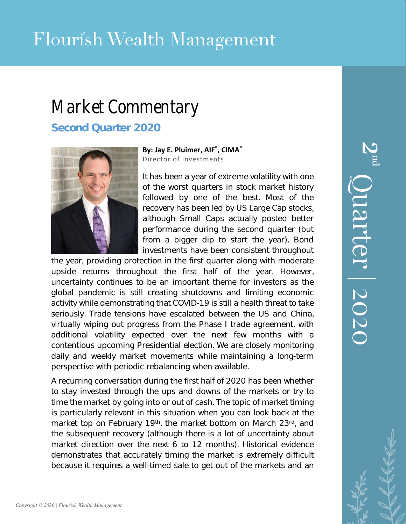# Market Commentary

**Second Quarter 2020**



**By: Jay E. Pluimer, AIF® , CIMA®**

Director of Investments

It has been a year of extreme volatility with one of the worst quarters in stock market history followed by one of the best. Most of the recovery has been led by US Large Cap stocks, although Small Caps actually posted better performance during the second quarter (but from a bigger dip to start the year). Bond investments have been consistent throughout

the year, providing protection in the first quarter along with moderate upside returns throughout the first half of the year. However, uncertainty continues to be an important theme for investors as the global pandemic is still creating shutdowns and limiting economic activity while demonstrating that COVID-19 is still a health threat to take seriously. Trade tensions have escalated between the US and China, virtually wiping out progress from the Phase I trade agreement, with additional volatility expected over the next few months with a contentious upcoming Presidential election. We are closely monitoring daily and weekly market movements while maintaining a long-term perspective with periodic rebalancing when available.

A recurring conversation during the first half of 2020 has been whether to stay invested through the ups and downs of the markets or try to time the market by going into or out of cash. The topic of market timing is particularly relevant in this situation when you can look back at the market top on February 19<sup>th</sup>, the market bottom on March 23rd, and the subsequent recovery (although there is a lot of uncertainty about market direction over the next 6 to 12 months). Historical evidence demonstrates that accurately timing the market is extremely difficult because it requires a well-timed sale to get out of the markets and an